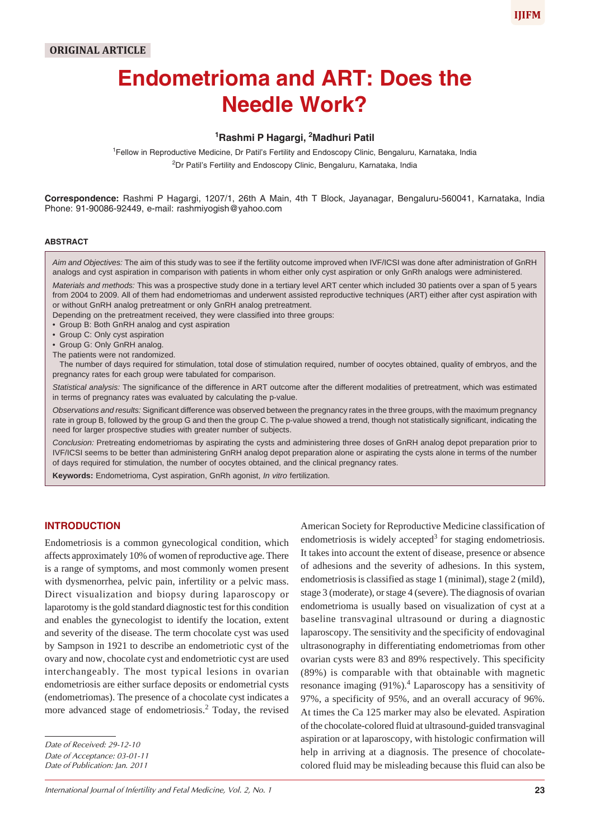# **Endometrioma and ART: Does the Needle Work?**

# **1 Rashmi P Hagargi, 2 Madhuri Patil**

<sup>1</sup>Fellow in Reproductive Medicine, Dr Patil's Fertility and Endoscopy Clinic, Bengaluru, Karnataka, India <sup>2</sup>Dr Patil's Fertility and Endoscopy Clinic, Bengaluru, Karnataka, India

**Correspondence:** Rashmi P Hagargi, 1207/1, 26th A Main, 4th T Block, Jayanagar, Bengaluru-560041, Karnataka, India Phone: 91-90086-92449, e-mail: rashmiyogish@yahoo.com

#### **ABSTRACT**

*Aim and Objectives:* The aim of this study was to see if the fertility outcome improved when IVF/ICSI was done after administration of GnRH analogs and cyst aspiration in comparison with patients in whom either only cyst aspiration or only GnRh analogs were administered. *Materials and methods:* This was a prospective study done in a tertiary level ART center which included 30 patients over a span of 5 years from 2004 to 2009. All of them had endometriomas and underwent assisted reproductive techniques (ART) either after cyst aspiration with or without GnRH analog pretreatment or only GnRH analog pretreatment. Depending on the pretreatment received, they were classified into three groups:

- Group B: Both GnRH analog and cyst aspiration
- Group C: Only cyst aspiration
- Group G: Only GnRH analog.
- The patients were not randomized.

The number of days required for stimulation, total dose of stimulation required, number of oocytes obtained, quality of embryos, and the pregnancy rates for each group were tabulated for comparison.

*Statistical analysis:* The significance of the difference in ART outcome after the different modalities of pretreatment, which was estimated in terms of pregnancy rates was evaluated by calculating the p-value.

*Observations and results:* Significant difference was observed between the pregnancy rates in the three groups, with the maximum pregnancy rate in group B, followed by the group G and then the group C. The p-value showed a trend, though not statistically significant, indicating the need for larger prospective studies with greater number of subjects.

*Conclusion:* Pretreating endometriomas by aspirating the cysts and administering three doses of GnRH analog depot preparation prior to IVF/ICSI seems to be better than administering GnRH analog depot preparation alone or aspirating the cysts alone in terms of the number of days required for stimulation, the number of oocytes obtained, and the clinical pregnancy rates.

**Keywords:** Endometrioma, Cyst aspiration, GnRh agonist, *In vitro* fertilization.

## **INTRODUCTION**

Endometriosis is a common gynecological condition, which affects approximately 10% of women of reproductive age. There is a range of symptoms, and most commonly women present with dysmenorrhea, pelvic pain, infertility or a pelvic mass. Direct visualization and biopsy during laparoscopy or laparotomy is the gold standard diagnostic test for this condition and enables the gynecologist to identify the location, extent and severity of the disease. The term chocolate cyst was used by Sampson in 1921 to describe an endometriotic cyst of the ovary and now, chocolate cyst and endometriotic cyst are used interchangeably. The most typical lesions in ovarian endometriosis are either surface deposits or endometrial cysts (endometriomas). The presence of a chocolate cyst indicates a more advanced stage of endometriosis.<sup>2</sup> Today, the revised

*Date of Publication: Jan. 2011*

American Society for Reproductive Medicine classification of endometriosis is widely accepted<sup>3</sup> for staging endometriosis. It takes into account the extent of disease, presence or absence of adhesions and the severity of adhesions. In this system, endometriosis is classified as stage 1 (minimal), stage 2 (mild), stage 3 (moderate), or stage 4 (severe). The diagnosis of ovarian endometrioma is usually based on visualization of cyst at a baseline transvaginal ultrasound or during a diagnostic laparoscopy. The sensitivity and the specificity of endovaginal ultrasonography in differentiating endometriomas from other ovarian cysts were 83 and 89% respectively. This specificity (89%) is comparable with that obtainable with magnetic resonance imaging  $(91\%)$ <sup>4</sup> Laparoscopy has a sensitivity of 97%, a specificity of 95%, and an overall accuracy of 96%. At times the Ca 125 marker may also be elevated. Aspiration of the chocolate-colored fluid at ultrasound-guided transvaginal aspiration or at laparoscopy, with histologic confirmation will help in arriving at a diagnosis. The presence of chocolatecolored fluid may be misleading because this fluid can also be

*Date of Received: 29-12-10*

*Date of Acceptance: 03-01-11*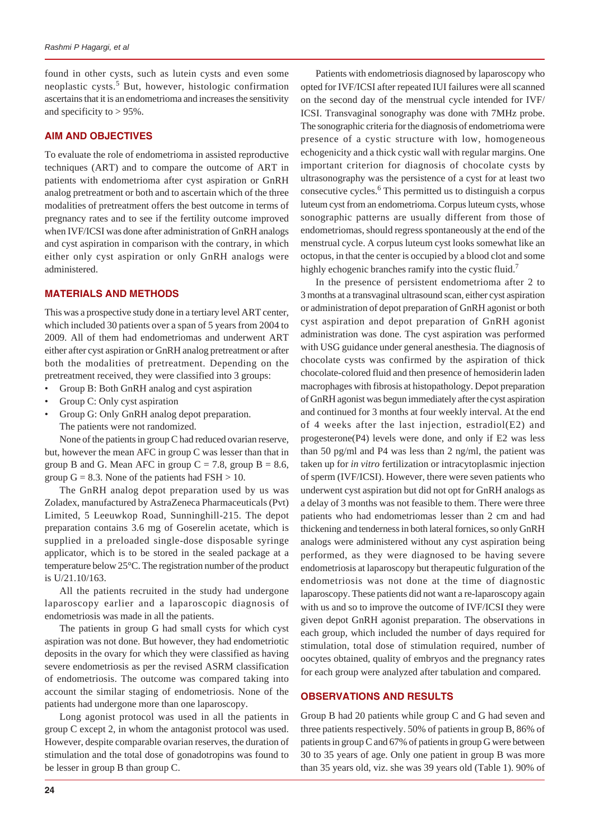found in other cysts, such as lutein cysts and even some neoplastic cysts.<sup>5</sup> But, however, histologic confirmation ascertains that it is an endometrioma and increases the sensitivity and specificity to  $> 95\%$ .

#### **AIM AND OBJECTIVES**

To evaluate the role of endometrioma in assisted reproductive techniques (ART) and to compare the outcome of ART in patients with endometrioma after cyst aspiration or GnRH analog pretreatment or both and to ascertain which of the three modalities of pretreatment offers the best outcome in terms of pregnancy rates and to see if the fertility outcome improved when IVF/ICSI was done after administration of GnRH analogs and cyst aspiration in comparison with the contrary, in which either only cyst aspiration or only GnRH analogs were administered.

#### **MATERIALS AND METHODS**

This was a prospective study done in a tertiary level ART center, which included 30 patients over a span of 5 years from 2004 to 2009. All of them had endometriomas and underwent ART either after cyst aspiration or GnRH analog pretreatment or after both the modalities of pretreatment. Depending on the pretreatment received, they were classified into 3 groups:

- Group B: Both GnRH analog and cyst aspiration
- Group C: Only cyst aspiration
- Group G: Only GnRH analog depot preparation. The patients were not randomized.

None of the patients in group C had reduced ovarian reserve, but, however the mean AFC in group C was lesser than that in group B and G. Mean AFC in group  $C = 7.8$ , group  $B = 8.6$ , group  $G = 8.3$ . None of the patients had  $FSH > 10$ .

The GnRH analog depot preparation used by us was Zoladex, manufactured by AstraZeneca Pharmaceuticals (Pvt) Limited, 5 Leeuwkop Road, Sunninghill-215. The depot preparation contains 3.6 mg of Goserelin acetate, which is supplied in a preloaded single-dose disposable syringe applicator, which is to be stored in the sealed package at a temperature below 25°C. The registration number of the product is U/21.10/163.

All the patients recruited in the study had undergone laparoscopy earlier and a laparoscopic diagnosis of endometriosis was made in all the patients.

The patients in group G had small cysts for which cyst aspiration was not done. But however, they had endometriotic deposits in the ovary for which they were classified as having severe endometriosis as per the revised ASRM classification of endometriosis. The outcome was compared taking into account the similar staging of endometriosis. None of the patients had undergone more than one laparoscopy.

Long agonist protocol was used in all the patients in group C except 2, in whom the antagonist protocol was used. However, despite comparable ovarian reserves, the duration of stimulation and the total dose of gonadotropins was found to be lesser in group B than group C.

Patients with endometriosis diagnosed by laparoscopy who opted for IVF/ICSI after repeated IUI failures were all scanned on the second day of the menstrual cycle intended for IVF/ ICSI. Transvaginal sonography was done with 7MHz probe. The sonographic criteria for the diagnosis of endometrioma were presence of a cystic structure with low, homogeneous echogenicity and a thick cystic wall with regular margins. One important criterion for diagnosis of chocolate cysts by ultrasonography was the persistence of a cyst for at least two consecutive cycles.<sup>6</sup> This permitted us to distinguish a corpus luteum cyst from an endometrioma. Corpus luteum cysts, whose sonographic patterns are usually different from those of endometriomas, should regress spontaneously at the end of the menstrual cycle. A corpus luteum cyst looks somewhat like an octopus, in that the center is occupied by a blood clot and some highly echogenic branches ramify into the cystic fluid.<sup>7</sup>

In the presence of persistent endometrioma after 2 to 3 months at a transvaginal ultrasound scan, either cyst aspiration or administration of depot preparation of GnRH agonist or both cyst aspiration and depot preparation of GnRH agonist administration was done. The cyst aspiration was performed with USG guidance under general anesthesia. The diagnosis of chocolate cysts was confirmed by the aspiration of thick chocolate-colored fluid and then presence of hemosiderin laden macrophages with fibrosis at histopathology. Depot preparation of GnRH agonist was begun immediately after the cyst aspiration and continued for 3 months at four weekly interval. At the end of 4 weeks after the last injection, estradiol(E2) and progesterone(P4) levels were done, and only if E2 was less than 50 pg/ml and P4 was less than 2 ng/ml, the patient was taken up for *in vitro* fertilization or intracytoplasmic injection of sperm (IVF/ICSI). However, there were seven patients who underwent cyst aspiration but did not opt for GnRH analogs as a delay of 3 months was not feasible to them. There were three patients who had endometriomas lesser than 2 cm and had thickening and tenderness in both lateral fornices, so only GnRH analogs were administered without any cyst aspiration being performed, as they were diagnosed to be having severe endometriosis at laparoscopy but therapeutic fulguration of the endometriosis was not done at the time of diagnostic laparoscopy. These patients did not want a re-laparoscopy again with us and so to improve the outcome of IVF/ICSI they were given depot GnRH agonist preparation. The observations in each group, which included the number of days required for stimulation, total dose of stimulation required, number of oocytes obtained, quality of embryos and the pregnancy rates for each group were analyzed after tabulation and compared.

#### **OBSERVATIONS AND RESULTS**

Group B had 20 patients while group C and G had seven and three patients respectively. 50% of patients in group B, 86% of patients in group C and 67% of patients in group G were between 30 to 35 years of age. Only one patient in group B was more than 35 years old, viz. she was 39 years old (Table 1). 90% of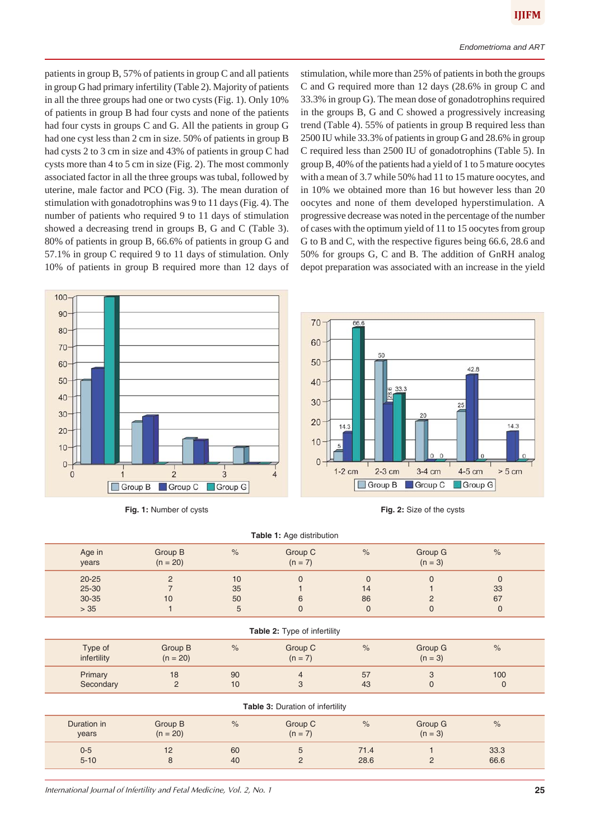patients in group B, 57% of patients in group C and all patients in group G had primary infertility (Table 2). Majority of patients in all the three groups had one or two cysts (Fig. 1). Only 10% of patients in group B had four cysts and none of the patients had four cysts in groups C and G. All the patients in group G had one cyst less than 2 cm in size. 50% of patients in group B had cysts 2 to 3 cm in size and 43% of patients in group C had cysts more than 4 to 5 cm in size (Fig. 2). The most commonly associated factor in all the three groups was tubal, followed by uterine, male factor and PCO (Fig. 3). The mean duration of stimulation with gonadotrophins was 9 to 11 days (Fig. 4). The number of patients who required 9 to 11 days of stimulation showed a decreasing trend in groups B, G and C (Table 3). 80% of patients in group B, 66.6% of patients in group G and 57.1% in group C required 9 to 11 days of stimulation. Only 10% of patients in group B required more than 12 days of

100

stimulation, while more than 25% of patients in both the groups C and G required more than 12 days (28.6% in group C and 33.3% in group G). The mean dose of gonadotrophins required in the groups B, G and C showed a progressively increasing trend (Table 4). 55% of patients in group B required less than 2500 IU while 33.3% of patients in group G and 28.6% in group C required less than 2500 IU of gonadotrophins (Table 5). In group B, 40% of the patients had a yield of 1 to 5 mature oocytes with a mean of 3.7 while 50% had 11 to 15 mature oocytes, and in 10% we obtained more than 16 but however less than 20 oocytes and none of them developed hyperstimulation. A progressive decrease was noted in the percentage of the number of cases with the optimum yield of 11 to 15 oocytes from group G to B and C, with the respective figures being 66.6, 28.6 and 50% for groups G, C and B. The addition of GnRH analog depot preparation was associated with an increase in the yield



| Fig. 1: Number of cysts | Fig. 2: Size of the cysts |
|-------------------------|---------------------------|
|-------------------------|---------------------------|

| Table 1: Age distribution                    |                                        |                     |                                |                                         |                                 |                               |  |
|----------------------------------------------|----------------------------------------|---------------------|--------------------------------|-----------------------------------------|---------------------------------|-------------------------------|--|
| Age in<br>years                              | Group B<br>$(n = 20)$                  | $\frac{1}{6}$       | Group C<br>$(n = 7)$           | $\%$                                    | Group G<br>$(n = 3)$            | $\%$                          |  |
| $20 - 25$<br>$25 - 30$<br>$30 - 35$<br>$>35$ | $\overline{2}$<br>$\overline{7}$<br>10 | 10<br>35<br>50<br>5 | $\mathbf{0}$<br>6<br>$\pmb{0}$ | $\mathbf{0}$<br>14<br>86<br>$\mathbf 0$ | $\Omega$<br>$\overline{2}$<br>0 | $\mathbf{0}$<br>33<br>67<br>0 |  |
| Table 2: Type of infertility                 |                                        |                     |                                |                                         |                                 |                               |  |
| Type of<br>infertility                       | Group B<br>$(n = 20)$                  | $\%$                | Group C<br>$(n = 7)$           | $\%$                                    | Group G<br>$(n = 3)$            | $\%$                          |  |
| Primary<br>Secondary                         | 18<br>$\overline{2}$                   | 90<br>10            | $\overline{4}$<br>3            | 57<br>43                                | 3<br>$\mathbf 0$                | 100<br>$\mathbf 0$            |  |
| Table 3: Duration of infertility             |                                        |                     |                                |                                         |                                 |                               |  |
| Duration in<br>years                         | Group B<br>$(n = 20)$                  | $\frac{1}{6}$       | Group C<br>$(n = 7)$           | $\frac{1}{\sqrt{2}}$                    | Group G<br>$(n = 3)$            | $\%$                          |  |
| $0 - 5$<br>$5 - 10$                          | 12<br>8                                | 60<br>40            | 5<br>$\overline{2}$            | 71.4<br>28.6                            | $\overline{2}$                  | 33.3<br>66.6                  |  |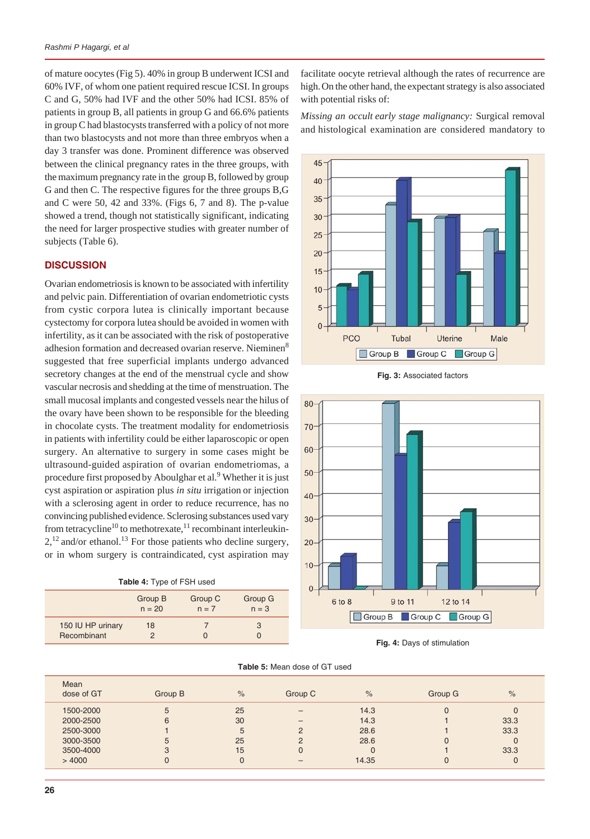of mature oocytes (Fig 5). 40% in group B underwent ICSI and 60% IVF, of whom one patient required rescue ICSI. In groups C and G, 50% had IVF and the other 50% had ICSI. 85% of patients in group B, all patients in group G and 66.6% patients in group C had blastocysts transferred with a policy of not more than two blastocysts and not more than three embryos when a day 3 transfer was done. Prominent difference was observed between the clinical pregnancy rates in the three groups, with the maximum pregnancy rate in the group B, followed by group G and then C. The respective figures for the three groups B,G and C were 50, 42 and 33%. (Figs 6, 7 and 8). The p-value showed a trend, though not statistically significant, indicating the need for larger prospective studies with greater number of subjects (Table 6).

## **DISCUSSION**

Ovarian endometriosis is known to be associated with infertility and pelvic pain. Differentiation of ovarian endometriotic cysts from cystic corpora lutea is clinically important because cystectomy for corpora lutea should be avoided in women with infertility, as it can be associated with the risk of postoperative adhesion formation and decreased ovarian reserve. Nieminen<sup>8</sup> suggested that free superficial implants undergo advanced secretory changes at the end of the menstrual cycle and show vascular necrosis and shedding at the time of menstruation. The small mucosal implants and congested vessels near the hilus of the ovary have been shown to be responsible for the bleeding in chocolate cysts. The treatment modality for endometriosis in patients with infertility could be either laparoscopic or open surgery. An alternative to surgery in some cases might be ultrasound-guided aspiration of ovarian endometriomas, a procedure first proposed by Aboulghar et al.<sup>9</sup> Whether it is just cyst aspiration or aspiration plus *in situ* irrigation or injection with a sclerosing agent in order to reduce recurrence, has no convincing published evidence. Sclerosing substances used vary from tetracycline<sup>10</sup> to methotrexate,<sup>11</sup> recombinant interleukin- $2,^{12}$  and/or ethanol.<sup>13</sup> For those patients who decline surgery, or in whom surgery is contraindicated, cyst aspiration may

| <b>Table 4: Type of FSH used</b> |  |  |  |  |
|----------------------------------|--|--|--|--|
|----------------------------------|--|--|--|--|

|                                  | Group B  | Group C | Group G |
|----------------------------------|----------|---------|---------|
|                                  | $n = 20$ | $n = 7$ | $n = 3$ |
| 150 IU HP urinary<br>Recombinant | 18       |         | 3       |

facilitate oocyte retrieval although the rates of recurrence are high.On the other hand, the expectant strategy is also associated with potential risks of:

*Missing an occult early stage malignancy:* Surgical removal and histological examination are considered mandatory to



**Fig. 3:** Associated factors



**Fig. 4:** Days of stimulation

| <b>Table 5: Mean dose of GT used</b> |  |
|--------------------------------------|--|
|--------------------------------------|--|

| Mean<br>dose of GT | Group B | $\frac{9}{6}$ | Group C       | $\frac{9}{6}$ | Group G | $\frac{9}{6}$ |
|--------------------|---------|---------------|---------------|---------------|---------|---------------|
| 1500-2000          | 5       | 25            |               | 14.3          |         | 0             |
| 2000-2500          | 6       | 30            | -             | 14.3          |         | 33.3          |
| 2500-3000          |         | 5             |               | 28.6          |         | 33.3          |
| 3000-3500          | $\circ$ | 25            | $\mathcal{P}$ | 28.6          |         | $\Omega$      |
| 3500-4000          | 3       | 15            |               |               |         | 33.3          |
| >4000              |         |               |               | 14.35         |         | 0             |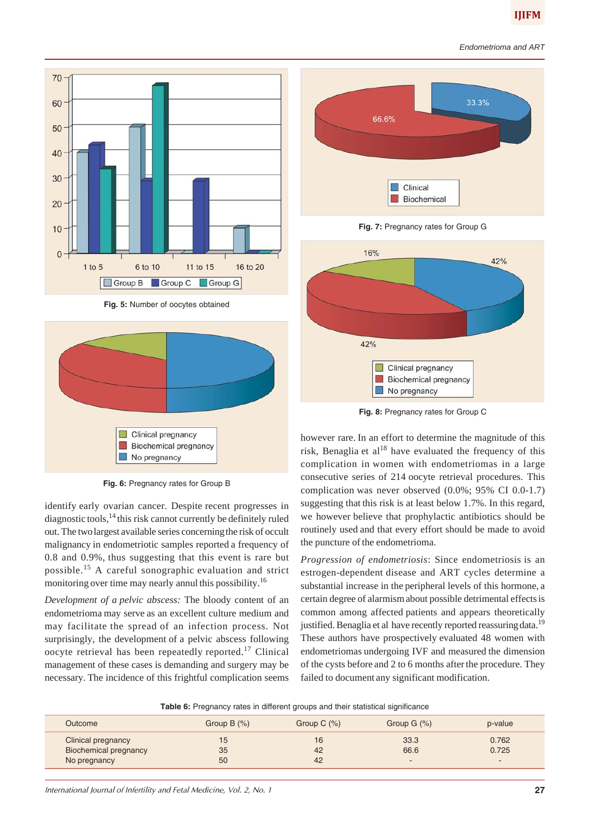

**Fig. 5:** Number of oocytes obtained



**Fig. 6:** Pregnancy rates for Group B

identify early ovarian cancer. Despite recent progresses in diagnostic tools, $14$  this risk cannot currently be definitely ruled out. The twolargest available series concerningthe risk of occult malignancy in endometriotic samples reported a frequency of 0.8 and 0.9%, thus suggesting that this event is rare but possible.15 A careful sonographic evaluation and strict monitoring over time may nearly annul this possibility.16

*Development of a pelvic abscess:* The bloody content of an endometrioma may serve as an excellent culture medium and may facilitate the spread of an infection process. Not surprisingly, the development of a pelvic abscess following oocyte retrieval has been repeatedly reported.17 Clinical management of these cases is demanding and surgery may be necessary. The incidence of this frightful complication seems



**Fig. 7:** Pregnancy rates for Group G



**Fig. 8:** Pregnancy rates for Group C

however rare. In an effort to determine the magnitude of this risk, Benaglia et  $al^{18}$  have evaluated the frequency of this complication in women with endometriomas in a large consecutive series of 214 oocyte retrieval procedures. This complication was never observed (0.0%; 95% CI 0.0-1.7) suggesting that this risk is at least below 1.7%. In this regard, we however believe that prophylactic antibiotics should be routinely used and that every effort should be made to avoid the puncture of the endometrioma.

*Progression of endometriosis*: Since endometriosis is an estrogen-dependent disease and ART cycles determine a substantial increase in the peripheral levels of this hormone, a certain degree of alarmismabout possible detrimental effectsis common among affected patients and appears theoretically justified. Benaglia et al have recently reported reassuring data.<sup>19</sup> These authors have prospectively evaluated 48 women with endometriomas undergoing IVF and measured the dimension of the cysts before and 2 to 6 months afterthe procedure. They failed to document any significant modification.

|  |  |  | <b>Table 6:</b> Pregnancy rates in different groups and their statistical significance |
|--|--|--|----------------------------------------------------------------------------------------|
|--|--|--|----------------------------------------------------------------------------------------|

| Outcome               | Group $B(%)$ | Group $C(\%)$ | Group $G(\%)$            | p-value |
|-----------------------|--------------|---------------|--------------------------|---------|
| Clinical pregnancy    | 15           | 16            | 33.3                     | 0.762   |
| Biochemical pregnancy | 35           | 42            | 66.6                     | 0.725   |
| No pregnancy          | 50           | 42            | $\overline{\phantom{a}}$ | -       |

*International Journal of Infertility and Fetal Medicine, Vol. 2, No. 1* **27**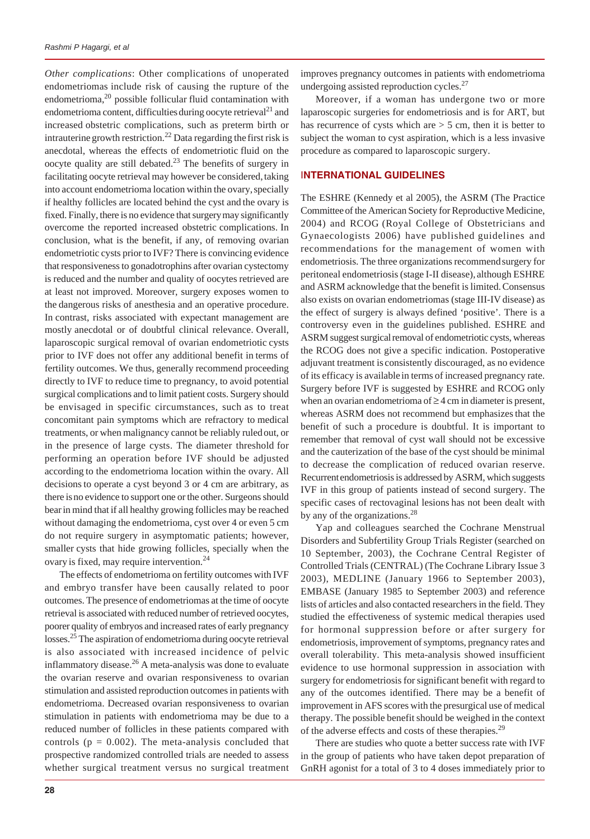*Other complications*: Other complications of unoperated endometriomas include risk of causing the rupture of the endometrioma,<sup>20</sup> possible follicular fluid contamination with endometrioma content, difficulties during oocyte retrieval<sup>21</sup> and increased obstetric complications, such as preterm birth or intrauterine growth restriction.<sup>22</sup> Data regarding the first risk is anecdotal, whereas the effects of endometriotic fluid on the oocyte quality are still debated.<sup>23</sup> The benefits of surgery in facilitating oocyte retrieval may however be considered, taking into account endometrioma location within the ovary, specially if healthy follicles are located behind the cyst and the ovary is fixed. Finally, there is no evidence that surgerymay significantly overcome the reported increased obstetric complications. In conclusion, what is the benefit, if any, of removing ovarian endometriotic cysts prior to IVF? There is convincing evidence that responsiveness to gonadotrophins after ovarian cystectomy is reduced and the number and quality of oocytes retrieved are at least not improved. Moreover, surgery exposes women to the dangerous risks of anesthesia and an operative procedure. In contrast, risks associated with expectant management are mostly anecdotal or of doubtful clinical relevance. Overall, laparoscopic surgical removal of ovarian endometriotic cysts prior to IVF does not offer any additional benefit in terms of fertility outcomes. We thus, generally recommend proceeding directly to IVF to reduce time to pregnancy, to avoid potential surgical complications and to limit patient costs. Surgery should be envisaged in specific circumstances, such as to treat concomitant pain symptoms which are refractory to medical treatments, or when malignancy cannot be reliably ruledout, or in the presence of large cysts. The diameter threshold for performing an operation before IVF should be adjusted according to the endometrioma location within the ovary. All decisionsto operate a cyst beyond 3 or 4 cm are arbitrary, as there isno evidence to support one or the other. Surgeons should bearin mind that if all healthy growing follicles may be reached without damaging the endometrioma, cyst over 4 or even 5 cm do not require surgery in asymptomatic patients; however, smaller cysts that hide growing follicles, specially when the ovary is fixed, may require intervention.<sup>24</sup>

The effects of endometrioma on fertility outcomes with IVF and embryo transfer have been causally related to poor outcomes. The presence of endometriomas at the time of oocyte retrieval is associated with reduced number of retrieved oocytes, poorer quality of embryos and increased rates of early pregnancy losses.25 The aspiration of endometrioma during oocyte retrieval is also associated with increased incidence of pelvic inflammatory disease.26 A meta-analysis was done to evaluate the ovarian reserve and ovarian responsiveness to ovarian stimulation and assisted reproduction outcomes in patients with endometrioma. Decreased ovarian responsiveness to ovarian stimulation in patients with endometrioma may be due to a reduced number of follicles in these patients compared with controls ( $p = 0.002$ ). The meta-analysis concluded that prospective randomized controlled trials are needed to assess whether surgical treatment versus no surgical treatment

**28**

improves pregnancy outcomes in patients with endometrioma undergoing assisted reproduction cycles.<sup>27</sup>

Moreover, if a woman has undergone two or more laparoscopic surgeries for endometriosis and is for ART, but has recurrence of cysts which are  $>$  5 cm, then it is better to subject the woman to cyst aspiration, which is a less invasive procedure as compared to laparoscopic surgery.

## I**NTERNATIONAL GUIDELINES**

The ESHRE (Kennedy et al 2005), the ASRM (The Practice Committee of the American Society for Reproductive Medicine, 2004) and RCOG (Royal College of Obstetricians and Gynaecologists 2006) have published guidelines and recommendations for the management of women with endometriosis. The three organizations recommend surgery for peritoneal endometriosis (stage I-II disease), although ESHRE and ASRM acknowledge that the benefit is limited.Consensus also exists on ovarian endometriomas (stage III-IV disease) as the effect of surgery is always defined 'positive'. There is a controversy even in the guidelines published. ESHRE and ASRM suggest surgical removal of endometriotic cysts, whereas the RCOG does not give a specific indication. Postoperative adjuvant treatment is consistently discouraged, as no evidence of its efficacy is available in terms of increased pregnancy rate. Surgery before IVF is suggested by ESHRE and RCOG only when an ovarian endometrioma of  $\geq$  4 cm in diameter is present, whereas ASRM does not recommend but emphasizes that the benefit of such a procedure is doubtful. It is important to remember that removal of cyst wall should not be excessive and the cauterization of the base of the cyst should be minimal to decrease the complication of reduced ovarian reserve. Recurrentendometriosis is addressed by ASRM, which suggests IVF in this group of patients instead of second surgery. The specific cases of rectovaginal lesions has not been dealt with by any of the organizations.<sup>28</sup>

Yap and colleagues searched the Cochrane Menstrual Disorders and Subfertility Group Trials Register (searched on 10 September, 2003), the Cochrane Central Register of Controlled Trials (CENTRAL) (The Cochrane Library Issue 3 2003), MEDLINE (January 1966 to September 2003), EMBASE (January 1985 to September 2003) and reference lists of articles and also contacted researchers in the field. They studied the effectiveness of systemic medical therapies used for hormonal suppression before or after surgery for endometriosis, improvement of symptoms, pregnancy rates and overall tolerability. This meta-analysis showed insufficient evidence to use hormonal suppression in association with surgery for endometriosis for significant benefit with regard to any of the outcomes identified. There may be a benefit of improvement in AFS scores with the presurgical use of medical therapy. The possible benefit should be weighed in the context of the adverse effects and costs of these therapies.<sup>29</sup>

There are studies who quote a better success rate with IVF in the group of patients who have taken depot preparation of GnRH agonist for a total of 3 to 4 doses immediately prior to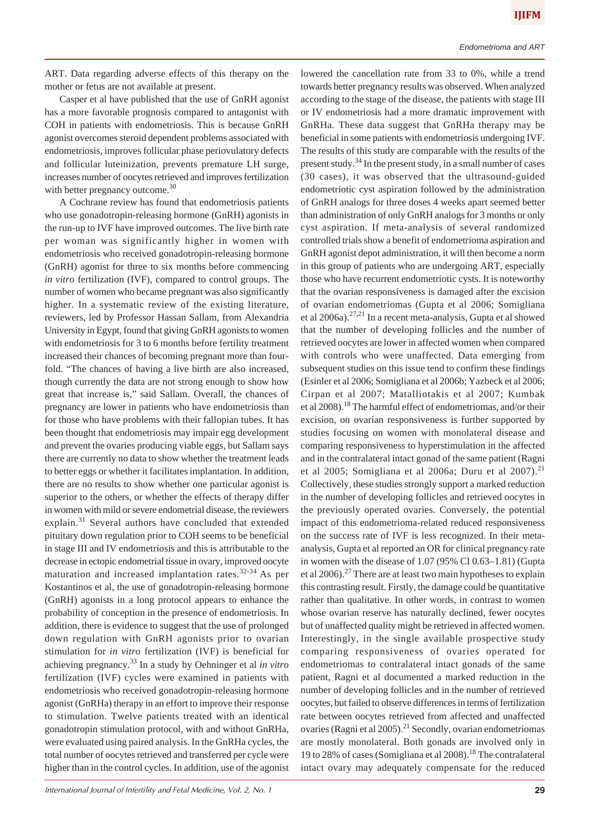ART. Data regarding adverse effects of this therapy on the mother or fetus are not available at present.

Casper et al have published that the use of GnRH agonist has a more favorable prognosis compared to antagonist with COH in patients with endometriosis. This is because GnRH agonist overcomes steroid dependent problems associated with endometriosis, improves follicular phase periovulatory defects and follicular luteinization, prevents premature LH surge, increases number of oocytes retrieved and improves fertilization with better pregnancy outcome.<sup>30</sup>

A Cochrane review has found that endometriosis patients who use gonadotropin-releasing hormone (GnRH) agonists in the run-up to IVF have improved outcomes. The live birth rate per woman was significantly higher in women with endometriosis who received gonadotropin-releasing hormone (GnRH) agonist for three to six months before commencing *in vitro* fertilization (IVF), compared to control groups. The number of women who became pregnant was also significantly higher. In a systematic review of the existing literature, reviewers, led by Professor Hassan Sallam, from Alexandria University in Egypt, found that giving GnRH agonists to women with endometriosis for 3 to 6 months before fertility treatment increased their chances of becoming pregnant more than fourfold. "The chances of having a live birth are also increased, though currently the data are not strong enough to show how great that increase is," said Sallam. Overall, the chances of pregnancy are lower in patients who have endometriosis than for those who have problems with their fallopian tubes. It has been thought that endometriosis may impair egg development and prevent the ovaries producing viable eggs, but Sallam says there are currently no data to show whether the treatment leads to better eggs or whether it facilitates implantation. In addition, there are no results to show whether one particular agonist is superior to the others, or whether the effects of therapy differ in women with mild or severe endometrial disease, the reviewers explain.<sup>31</sup> Several authors have concluded that extended pituitary down regulation prior to COH seems to be beneficial in stage III and IV endometriosis and this is attributable to the decrease in ectopic endometrial tissue in ovary, improved oocyte maturation and increased implantation rates.<sup>32-34</sup> As per Kostantinos et al, the use of gonadotropin-releasing hormone (GnRH) agonists in a long protocol appears to enhance the probability of conception in the presence of endometriosis. In addition, there is evidence to suggest that the use of prolonged down regulation with GnRH agonists prior to ovarian stimulation for *in vitro* fertilization (IVF) is beneficial for achieving pregnancy.33 In a study by Oehninger et al *in vitro* fertilization (IVF) cycles were examined in patients with endometriosis who received gonadotropin-releasing hormone agonist (GnRHa) therapy in an effort to improve their response to stimulation. Twelve patients treated with an identical gonadotropin stimulation protocol, with and without GnRHa, were evaluated using paired analysis. In the GnRHa cycles, the total number of oocytes retrieved and transferred per cycle were higher than in the control cycles. In addition, use of the agonist

lowered the cancellation rate from 33 to 0%, while a trend towards better pregnancy results was observed. When analyzed according to the stage of the disease, the patients with stage III or IV endometriosis had a more dramatic improvement with GnRHa. These data suggest that GnRHa therapy may be beneficial in some patients with endometriosis undergoing IVF. The results of this study are comparable with the results of the present study.<sup>34</sup> In the present study, in a small number of cases (30 cases), it was observed that the ultrasound-guided endometriotic cyst aspiration followed by the administration of GnRH analogs for three doses 4 weeks apart seemed better than administration of only GnRH analogs for 3 months or only cyst aspiration. If meta-analysis of several randomized controlled trials show a benefit of endometrioma aspiration and GnRH agonist depot administration, it will then become a norm in this group of patients who are undergoing ART, especially those who have recurrent endometriotic cysts. It is noteworthy that the ovarian responsiveness is damaged after the excision of ovarian endometriomas (Gupta et al 2006; Somigliana et al 2006a).<sup>27,21</sup> In a recent meta-analysis, Gupta et al showed that the number of developing follicles and the number of retrieved oocytes are lower in affected women when compared with controls who were unaffected. Data emerging from subsequent studies on this issue tend to confirm these findings (Esinler et al 2006; Somigliana et al 2006b; Yazbeck et al 2006; Cirpan et al 2007; Matalliotakis et al 2007; Kumbak et al 2008).<sup>18</sup> The harmful effect of endometriomas, and/or their excision, on ovarian responsiveness is further supported by studies focusing on women with monolateral disease and comparing responsiveness to hyperstimulation in the affected and in the contralateral intact gonad of the same patient (Ragni et al 2005; Somigliana et al 2006a; Duru et al 2007).<sup>21</sup> Collectively, these studies strongly support a marked reduction in the number of developing follicles and retrieved oocytes in the previously operated ovaries. Conversely, the potential impact of this endometrioma-related reduced responsiveness on the success rate of IVF is less recognized. In their metaanalysis, Gupta et al reported an OR for clinical pregnancy rate in women with the disease of 1.07 (95% CI 0.63–1.81) (Gupta et al  $2006$ .<sup>27</sup> There are at least two main hypotheses to explain this contrasting result. Firstly, the damage could be quantitative rather than qualitative. In other words, in contrast to women whose ovarian reserve has naturally declined, fewer oocytes but of unaffected quality might be retrieved in affected women. Interestingly, in the single available prospective study comparing responsiveness of ovaries operated for endometriomas to contralateral intact gonads of the same patient, Ragni et al documented a marked reduction in the number of developing follicles and in the number of retrieved oocytes, but failed to observe differences in terms of fertilization rate between oocytes retrieved from affected and unaffected ovaries (Ragni et al 2005).<sup>21</sup> Secondly, ovarian endometriomas are mostly monolateral. Both gonads are involved only in 19 to 28% of cases (Somigliana et al 2008).18 The contralateral intact ovary may adequately compensate for the reduced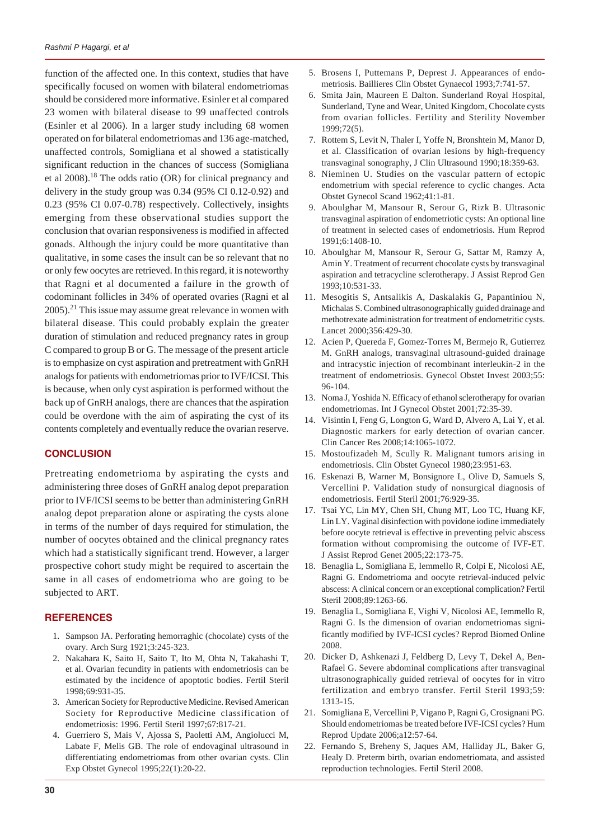function of the affected one. In this context, studies that have specifically focused on women with bilateral endometriomas should be considered more informative. Esinler et al compared 23 women with bilateral disease to 99 unaffected controls (Esinler et al 2006). In a larger study including 68 women operated on for bilateral endometriomas and 136 age-matched, unaffected controls, Somigliana et al showed a statistically significant reduction in the chances of success (Somigliana et al  $2008$ .<sup>18</sup> The odds ratio (OR) for clinical pregnancy and delivery in the study group was 0.34 (95% CI 0.12-0.92) and 0.23 (95% CI 0.07-0.78) respectively. Collectively, insights emerging from these observational studies support the conclusion that ovarian responsiveness is modified in affected gonads. Although the injury could be more quantitative than qualitative, in some cases the insult can be so relevant that no or only few oocytes are retrieved. In this regard, it is noteworthy that Ragni et al documented a failure in the growth of codominant follicles in 34% of operated ovaries (Ragni et al  $2005$ ).<sup>21</sup> This issue may assume great relevance in women with bilateral disease. This could probably explain the greater duration of stimulation and reduced pregnancy rates in group C compared to group B or G. The message of the present article is to emphasize on cyst aspiration and pretreatment with GnRH analogs for patients with endometriomas prior to IVF/ICSI. This is because, when only cyst aspiration is performed without the back up of GnRH analogs, there are chances that the aspiration could be overdone with the aim of aspirating the cyst of its contents completely and eventually reduce the ovarian reserve.

# **CONCLUSION**

Pretreating endometrioma by aspirating the cysts and administering three doses of GnRH analog depot preparation prior to IVF/ICSI seems to be better than administering GnRH analog depot preparation alone or aspirating the cysts alone in terms of the number of days required for stimulation, the number of oocytes obtained and the clinical pregnancy rates which had a statistically significant trend. However, a larger prospective cohort study might be required to ascertain the same in all cases of endometrioma who are going to be subjected to ART.

## **REFERENCES**

- 1. Sampson JA. Perforating hemorraghic (chocolate) cysts of the ovary. Arch Surg 1921;3:245-323.
- 2. Nakahara K, Saito H, Saito T, Ito M, Ohta N, Takahashi T, et al. Ovarian fecundity in patients with endometriosis can be estimated by the incidence of apoptotic bodies. Fertil Steril 1998;69:931-35.
- 3. American Society for Reproductive Medicine. Revised American Society for Reproductive Medicine classification of endometriosis: 1996. Fertil Steril 1997;67:817-21.
- 4. Guerriero S, Mais V, Ajossa S, Paoletti AM, Angiolucci M, Labate F, Melis GB. The role of endovaginal ultrasound in differentiating endometriomas from other ovarian cysts. Clin Exp Obstet Gynecol 1995;22(1):20-22.
- 5. Brosens I, Puttemans P, Deprest J. Appearances of endometriosis. Baillieres Clin Obstet Gynaecol 1993;7:741-57.
- 6. Smita Jain, Maureen E Dalton. Sunderland Royal Hospital, Sunderland, Tyne and Wear, United Kingdom, Chocolate cysts from ovarian follicles. Fertility and Sterility November 1999;72(5).
- 7. Rottem S, Levit N, Thaler I, Yoffe N, Bronshtein M, Manor D, et al. Classification of ovarian lesions by high-frequency transvaginal sonography, J Clin Ultrasound 1990;18:359-63.
- 8. Nieminen U. Studies on the vascular pattern of ectopic endometrium with special reference to cyclic changes. Acta Obstet Gynecol Scand 1962;41:1-81.
- 9. Aboulghar M, Mansour R, Serour G, Rizk B. Ultrasonic transvaginal aspiration of endometriotic cysts: An optional line of treatment in selected cases of endometriosis. Hum Reprod 1991;6:1408-10.
- 10. Aboulghar M, Mansour R, Serour G, Sattar M, Ramzy A, Amin Y. Treatment of recurrent chocolate cysts by transvaginal aspiration and tetracycline sclerotherapy. J Assist Reprod Gen 1993;10:531-33.
- 11. Mesogitis S, Antsalikis A, Daskalakis G, Papantiniou N, Michalas S. Combined ultrasonographically guided drainage and methotrexate administration for treatment of endometritic cysts. Lancet 2000;356:429-30.
- 12. Acien P, Quereda F, Gomez-Torres M, Bermejo R, Gutierrez M. GnRH analogs, transvaginal ultrasound-guided drainage and intracystic injection of recombinant interleukin-2 in the treatment of endometriosis. Gynecol Obstet Invest 2003;55: 96-104.
- 13. Noma J, Yoshida N. Efficacy of ethanol sclerotherapy for ovarian endometriomas. Int J Gynecol Obstet 2001;72:35-39.
- 14. Visintin I, Feng G, Longton G, Ward D, Alvero A, Lai Y, et al. Diagnostic markers for early detection of ovarian cancer. Clin Cancer Res 2008;14:1065-1072.
- 15. Mostoufizadeh M, Scully R. Malignant tumors arising in endometriosis. Clin Obstet Gynecol 1980;23:951-63.
- 16. Eskenazi B, Warner M, Bonsignore L, Olive D, Samuels S, Vercellini P. Validation study of nonsurgical diagnosis of endometriosis. Fertil Steril 2001;76:929-35.
- 17. Tsai YC, Lin MY, Chen SH, Chung MT, Loo TC, Huang KF, Lin LY. Vaginal disinfection with povidone iodine immediately before oocyte retrieval is effective in preventing pelvic abscess formation without compromising the outcome of IVF-ET. J Assist Reprod Genet 2005;22:173-75.
- 18. Benaglia L, Somigliana E, Iemmello R, Colpi E, Nicolosi AE, Ragni G. Endometrioma and oocyte retrieval-induced pelvic abscess: A clinical concern or an exceptional complication? Fertil Steril 2008;89:1263-66.
- 19. Benaglia L, Somigliana E, Vighi V, Nicolosi AE, Iemmello R, Ragni G. Is the dimension of ovarian endometriomas significantly modified by IVF-ICSI cycles? Reprod Biomed Online 2008.
- 20. Dicker D, Ashkenazi J, Feldberg D, Levy T, Dekel A, Ben-Rafael G. Severe abdominal complications after transvaginal ultrasonographically guided retrieval of oocytes for in vitro fertilization and embryo transfer. Fertil Steril 1993;59: 1313-15.
- 21. Somigliana E, Vercellini P, Vigano P, Ragni G, Crosignani PG. Should endometriomas be treated before IVF-ICSI cycles? Hum Reprod Update 2006;a12:57-64.
- 22. Fernando S, Breheny S, Jaques AM, Halliday JL, Baker G, Healy D. Preterm birth, ovarian endometriomata, and assisted reproduction technologies. Fertil Steril 2008.